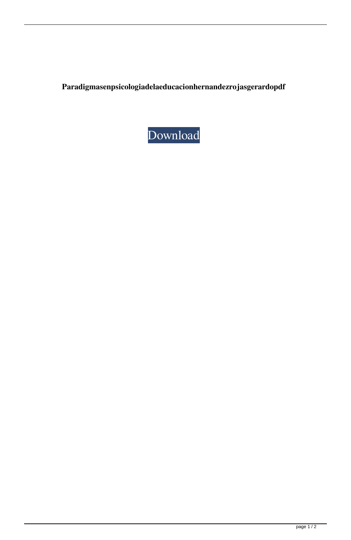Paradigmasenpsicologiadelaeducacionhernandezrojasgerardopdf